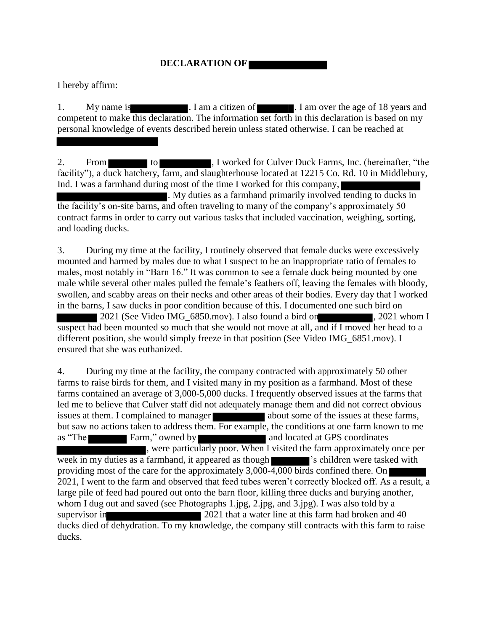## **DECLARATION OF**

I hereby affirm:

1. My name is 1. I am a citizen of 18 years and 1. I am over the age of 18 years and competent to make this declaration. The information set forth in this declaration is based on my personal knowledge of events described herein unless stated otherwise. I can be reached at

2. From to to Theory I worked for Culver Duck Farms, Inc. (hereinafter, "the facility"), a duck hatchery, farm, and slaughterhouse located at 12215 Co. Rd. 10 in Middlebury, Ind. I was a farmhand during most of the time I worked for this company,

 $\blacksquare$ . My duties as a farmhand primarily involved tending to ducks in the facility's on-site barns, and often traveling to many of the company's approximately 50 contract farms in order to carry out various tasks that included vaccination, weighing, sorting, and loading ducks.

3. During my time at the facility, I routinely observed that female ducks were excessively mounted and harmed by males due to what I suspect to be an inappropriate ratio of females to males, most notably in "Barn 16." It was common to see a female duck being mounted by one male while several other males pulled the female's feathers off, leaving the females with bloody, swollen, and scabby areas on their necks and other areas of their bodies. Every day that I worked in the barns, I saw ducks in poor condition because of this. I documented one such bird on 2021 (See Video IMG 6850.mov). I also found a bird on , 2021 whom I suspect had been mounted so much that she would not move at all, and if I moved her head to a different position, she would simply freeze in that position (See Video IMG 6851.mov). I ensured that she was euthanized.

4. During my time at the facility, the company contracted with approximately 50 other farms to raise birds for them, and I visited many in my position as a farmhand. Most of these farms contained an average of 3,000-5,000 ducks. I frequently observed issues at the farms that led me to believe that Culver staff did not adequately manage them and did not correct obvious issues at them. I complained to manager about some of the issues at these farms, but saw no actions taken to address them. For example, the conditions at one farm known to me as "The Farm," owned by and located at GPS coordinates , were particularly poor. When I visited the farm approximately once per week in my duties as a farmhand, it appeared as though  $\blacksquare$  's children were tasked with providing most of the care for the approximately 3,000-4,000 birds confined there. On 2021, I went to the farm and observed that feed tubes weren't correctly blocked off. As a result, a large pile of feed had poured out onto the barn floor, killing three ducks and burying another, whom I dug out and saved (see Photographs 1.jpg, 2.jpg, and 3.jpg). I was also told by a supervisor in 2021 that a water line at this farm had broken and 40 ducks died of dehydration. To my knowledge, the company still contracts with this farm to raise ducks.